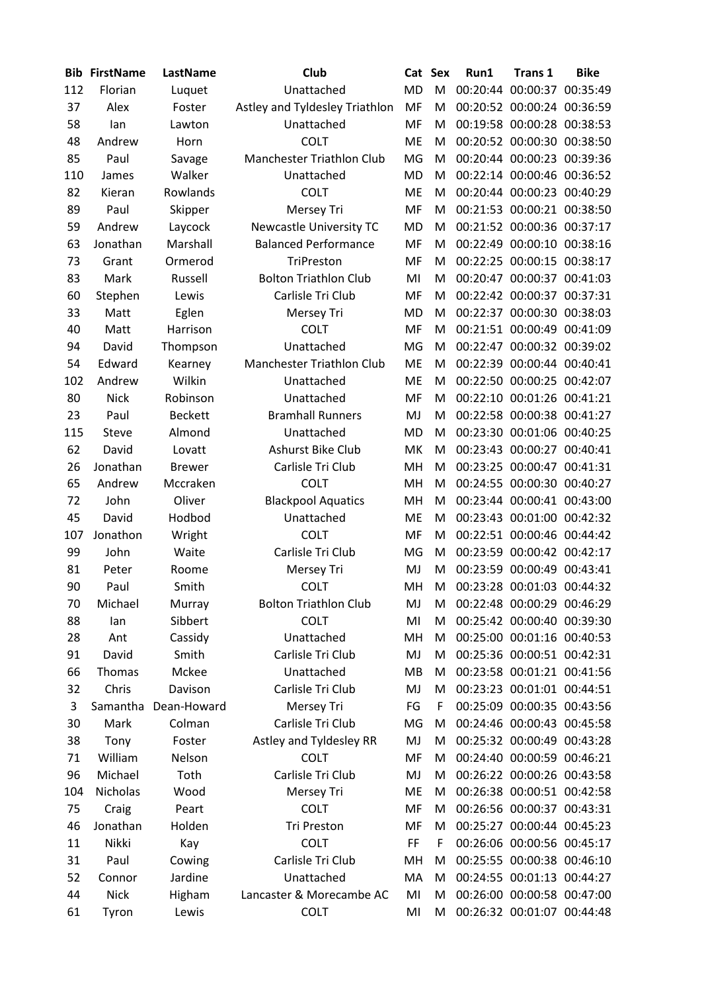| <b>Bib</b> | <b>FirstName</b> | LastName             | <b>Club</b>                     | Cat Sex   |   | Run1     | <b>Trans 1</b>             | <b>Bike</b> |
|------------|------------------|----------------------|---------------------------------|-----------|---|----------|----------------------------|-------------|
| 112        | Florian          | Luquet               | Unattached                      | <b>MD</b> | M | 00:20:44 | 00:00:37 00:35:49          |             |
| 37         | Alex             | Foster               | Astley and Tyldesley Triathlon  |           | M |          | 00:20:52 00:00:24 00:36:59 |             |
| 58         | lan              | Lawton               | Unattached                      |           | M |          | 00:19:58 00:00:28 00:38:53 |             |
| 48         | Andrew           | Horn                 | <b>COLT</b>                     |           | M |          | 00:20:52 00:00:30 00:38:50 |             |
| 85         | Paul             | Savage               | Manchester Triathlon Club<br>MG |           | M |          | 00:20:44 00:00:23 00:39:36 |             |
| 110        | James            | Walker               | Unattached                      | <b>MD</b> | M |          | 00:22:14 00:00:46 00:36:52 |             |
| 82         | Kieran           | Rowlands             | <b>COLT</b>                     | ME        | M |          | 00:20:44 00:00:23 00:40:29 |             |
| 89         | Paul             | Skipper              | <b>Mersey Tri</b>               | MF        | M |          | 00:21:53 00:00:21 00:38:50 |             |
| 59         | Andrew           | Laycock              | Newcastle University TC         | <b>MD</b> | M |          | 00:21:52 00:00:36 00:37:17 |             |
| 63         | Jonathan         | Marshall             | <b>Balanced Performance</b>     | MF        | M | 00:22:49 | 00:00:10 00:38:16          |             |
| 73         | Grant            | Ormerod              | TriPreston                      | MF        | M |          | 00:22:25 00:00:15 00:38:17 |             |
| 83         | Mark             | Russell              | <b>Bolton Triathlon Club</b>    | MI        | M | 00:20:47 | 00:00:37 00:41:03          |             |
| 60         | Stephen          | Lewis                | Carlisle Tri Club               | MF        | M |          | 00:22:42 00:00:37 00:37:31 |             |
| 33         | Matt             | Eglen                | Mersey Tri                      | <b>MD</b> | M |          | 00:22:37 00:00:30 00:38:03 |             |
| 40         | Matt             | Harrison             | <b>COLT</b>                     | MF        | M |          | 00:21:51 00:00:49 00:41:09 |             |
| 94         | David            | Thompson             | Unattached                      | MG        | M | 00:22:47 | 00:00:32 00:39:02          |             |
| 54         | Edward           | Kearney              | Manchester Triathlon Club       | <b>ME</b> | M | 00:22:39 | 00:00:44 00:40:41          |             |
| 102        | Andrew           | Wilkin               | Unattached                      | <b>ME</b> | M |          | 00:22:50 00:00:25 00:42:07 |             |
| 80         | <b>Nick</b>      | Robinson             | Unattached                      | MF        | M | 00:22:10 | 00:01:26 00:41:21          |             |
| 23         | Paul             | <b>Beckett</b>       | <b>Bramhall Runners</b>         | MJ        | M |          | 00:22:58 00:00:38 00:41:27 |             |
| 115        | <b>Steve</b>     | Almond               | Unattached                      | <b>MD</b> | M |          | 00:23:30 00:01:06 00:40:25 |             |
| 62         | David            | Lovatt               | Ashurst Bike Club               | MK        | M | 00:23:43 | 00:00:27 00:40:41          |             |
| 26         | Jonathan         | <b>Brewer</b>        | Carlisle Tri Club               | MH        | M |          | 00:23:25 00:00:47 00:41:31 |             |
| 65         | Andrew           | Mccraken             | <b>COLT</b>                     | MH        | M |          | 00:24:55 00:00:30 00:40:27 |             |
| 72         | John             | Oliver               | <b>Blackpool Aquatics</b>       | MH        | M |          | 00:23:44 00:00:41 00:43:00 |             |
| 45         | David            | Hodbod               | Unattached                      | ME        | M | 00:23:43 | 00:01:00 00:42:32          |             |
| 107        | Jonathon         | Wright               | <b>COLT</b>                     | MF        | M | 00:22:51 | 00:00:46 00:44:42          |             |
| 99         | John             | Waite                | Carlisle Tri Club               | MG        | M |          | 00:23:59 00:00:42 00:42:17 |             |
| 81         | Peter            | Roome                | Mersey Tri                      | MJ        | M | 00:23:59 | 00:00:49 00:43:41          |             |
| 90         | Paul             | Smith                | <b>COLT</b>                     | MH        | м |          | 00:23:28 00:01:03 00:44:32 |             |
| 70         | Michael          | Murray               | <b>Bolton Triathlon Club</b>    | MJ        | М |          | 00:22:48 00:00:29 00:46:29 |             |
| 88         | lan              | Sibbert              | <b>COLT</b>                     | MI        | M |          | 00:25:42 00:00:40 00:39:30 |             |
| 28         | Ant              | Cassidy              | Unattached                      | MH        | M |          | 00:25:00 00:01:16 00:40:53 |             |
| 91         | David            | Smith                | Carlisle Tri Club               | MJ        | M |          | 00:25:36 00:00:51 00:42:31 |             |
| 66         | Thomas           | Mckee                | Unattached                      | MB        | M |          | 00:23:58 00:01:21 00:41:56 |             |
| 32         | Chris            | Davison              | Carlisle Tri Club               | MJ        | м |          | 00:23:23 00:01:01 00:44:51 |             |
| 3          |                  | Samantha Dean-Howard | Mersey Tri                      | FG        | F |          | 00:25:09 00:00:35 00:43:56 |             |
| 30         | Mark             | Colman               | Carlisle Tri Club               | MG        | M |          | 00:24:46 00:00:43 00:45:58 |             |
| 38         | Tony             | Foster               | Astley and Tyldesley RR         | MJ        | M |          | 00:25:32 00:00:49 00:43:28 |             |
| 71         | William          | Nelson               | <b>COLT</b>                     | MF        | M |          | 00:24:40 00:00:59 00:46:21 |             |
| 96         | Michael          | Toth                 | Carlisle Tri Club               | MJ        | M |          | 00:26:22 00:00:26 00:43:58 |             |
| 104        | Nicholas         | Wood                 | Mersey Tri                      | ME        | M |          | 00:26:38 00:00:51 00:42:58 |             |
| 75         | Craig            | Peart                | <b>COLT</b>                     | MF        | M |          | 00:26:56 00:00:37 00:43:31 |             |
| 46         | Jonathan         | Holden               | Tri Preston                     | MF        | M |          | 00:25:27 00:00:44 00:45:23 |             |
| 11         | Nikki            | Kay                  | <b>COLT</b>                     | FF        | F |          | 00:26:06 00:00:56 00:45:17 |             |
| 31         | Paul             | Cowing               | Carlisle Tri Club               | MH        | M |          | 00:25:55 00:00:38 00:46:10 |             |
| 52         | Connor           | Jardine              | Unattached                      | MA        | M |          | 00:24:55 00:01:13 00:44:27 |             |
| 44         | <b>Nick</b>      | Higham               | Lancaster & Morecambe AC        | MI        | M |          | 00:26:00 00:00:58 00:47:00 |             |
| 61         | Tyron            | Lewis                | <b>COLT</b>                     | MI        | M |          | 00:26:32 00:01:07 00:44:48 |             |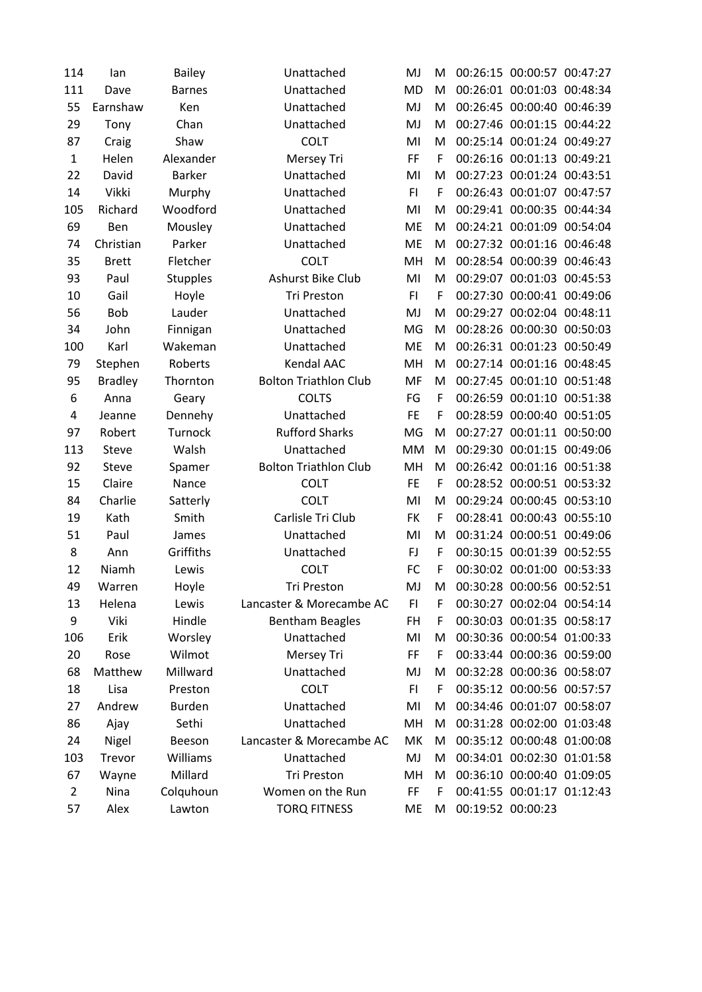| 114            | lan            | <b>Bailey</b>   | Unattached                   | MJ        | M | 00:26:15 00:00:57 00:47:27 |  |
|----------------|----------------|-----------------|------------------------------|-----------|---|----------------------------|--|
| 111            | Dave           | <b>Barnes</b>   | Unattached                   | <b>MD</b> | M | 00:26:01 00:01:03 00:48:34 |  |
| 55             | Earnshaw       | Ken             | Unattached                   | MJ        | M | 00:26:45 00:00:40 00:46:39 |  |
| 29             | Tony           | Chan            | Unattached                   | MJ        | M | 00:27:46 00:01:15 00:44:22 |  |
| 87             | Craig          | Shaw            | <b>COLT</b>                  | MI        | M | 00:25:14 00:01:24 00:49:27 |  |
| $\mathbf{1}$   | Helen          | Alexander       | Mersey Tri                   | FF        | F | 00:26:16 00:01:13 00:49:21 |  |
| 22             | David          | Barker          | Unattached                   | MI        | M | 00:27:23 00:01:24 00:43:51 |  |
| 14             | Vikki          | Murphy          | Unattached                   | F1        | F | 00:26:43 00:01:07 00:47:57 |  |
| 105            | Richard        | Woodford        | Unattached                   | MI        | M | 00:29:41 00:00:35 00:44:34 |  |
| 69             | Ben            | Mousley         | Unattached                   | <b>ME</b> | M | 00:24:21 00:01:09 00:54:04 |  |
| 74             | Christian      | Parker          | Unattached                   | <b>ME</b> | M | 00:27:32 00:01:16 00:46:48 |  |
| 35             | <b>Brett</b>   | Fletcher        | <b>COLT</b>                  | MH        | M | 00:28:54 00:00:39 00:46:43 |  |
| 93             | Paul           | <b>Stupples</b> | Ashurst Bike Club            | MI        | M | 00:29:07 00:01:03 00:45:53 |  |
| 10             | Gail           | Hoyle           | Tri Preston                  | FI.       | F | 00:27:30 00:00:41 00:49:06 |  |
| 56             | <b>Bob</b>     | Lauder          | Unattached                   | MJ        | M | 00:29:27 00:02:04 00:48:11 |  |
| 34             | John           | Finnigan        | Unattached                   | MG        | M | 00:28:26 00:00:30 00:50:03 |  |
| 100            | Karl           | Wakeman         | Unattached                   | <b>ME</b> | M | 00:26:31 00:01:23 00:50:49 |  |
| 79             | Stephen        | Roberts         | Kendal AAC                   | MH        | M | 00:27:14 00:01:16 00:48:45 |  |
| 95             | <b>Bradley</b> | Thornton        | <b>Bolton Triathlon Club</b> | MF        | M | 00:27:45 00:01:10 00:51:48 |  |
| 6              | Anna           | Geary           | <b>COLTS</b>                 | FG        | F | 00:26:59 00:01:10 00:51:38 |  |
| 4              | Jeanne         | Dennehy         | Unattached                   | <b>FE</b> | F | 00:28:59 00:00:40 00:51:05 |  |
| 97             | Robert         | Turnock         | <b>Rufford Sharks</b>        | MG        | M | 00:27:27 00:01:11 00:50:00 |  |
| 113            | Steve          | Walsh           | Unattached                   | <b>MM</b> | M | 00:29:30 00:01:15 00:49:06 |  |
| 92             | Steve          | Spamer          | <b>Bolton Triathlon Club</b> | MH        | M | 00:26:42 00:01:16 00:51:38 |  |
| 15             | Claire         | Nance           | <b>COLT</b>                  | <b>FE</b> | F | 00:28:52 00:00:51 00:53:32 |  |
| 84             | Charlie        | Satterly        | <b>COLT</b>                  | MI        | M | 00:29:24 00:00:45 00:53:10 |  |
| 19             | Kath           | Smith           | Carlisle Tri Club            | FK        | F | 00:28:41 00:00:43 00:55:10 |  |
| 51             | Paul           | James           | Unattached                   | MI        | M | 00:31:24 00:00:51 00:49:06 |  |
| 8              | Ann            | Griffiths       | Unattached                   | FJ        | F | 00:30:15 00:01:39 00:52:55 |  |
| 12             | Niamh          | Lewis           | <b>COLT</b>                  | FC        | F | 00:30:02 00:01:00 00:53:33 |  |
| 49             | Warren         | Hoyle           | Tri Preston                  | MJ        | м | 00:30:28 00:00:56 00:52:51 |  |
| 13             | Helena         | Lewis           | Lancaster & Morecambe AC     | FI        | F | 00:30:27 00:02:04 00:54:14 |  |
| 9              | Viki           | Hindle          | <b>Bentham Beagles</b>       | FH        | F | 00:30:03 00:01:35 00:58:17 |  |
| 106            | Erik           | Worsley         | Unattached                   | MI        | м | 00:30:36 00:00:54 01:00:33 |  |
| 20             | Rose           | Wilmot          | Mersey Tri                   | FF        | F | 00:33:44 00:00:36 00:59:00 |  |
| 68             | Matthew        | Millward        | Unattached                   | MJ        | M | 00:32:28 00:00:36 00:58:07 |  |
| 18             | Lisa           | Preston         | <b>COLT</b>                  | FI.       | F | 00:35:12 00:00:56 00:57:57 |  |
| 27             | Andrew         | Burden          | Unattached                   | MI        | M | 00:34:46 00:01:07 00:58:07 |  |
| 86             | Ajay           | Sethi           | Unattached                   | MH        | M | 00:31:28 00:02:00 01:03:48 |  |
| 24             | Nigel          | Beeson          | Lancaster & Morecambe AC     | MK        | M | 00:35:12 00:00:48 01:00:08 |  |
| 103            | Trevor         | Williams        | Unattached                   | MJ        | M | 00:34:01 00:02:30 01:01:58 |  |
| 67             | Wayne          | Millard         | Tri Preston                  | MH        | M | 00:36:10 00:00:40 01:09:05 |  |
| $\overline{2}$ | Nina           | Colquhoun       | Women on the Run             | FF        | F | 00:41:55 00:01:17 01:12:43 |  |
| 57             | Alex           | Lawton          | <b>TORQ FITNESS</b>          | ME        | M | 00:19:52 00:00:23          |  |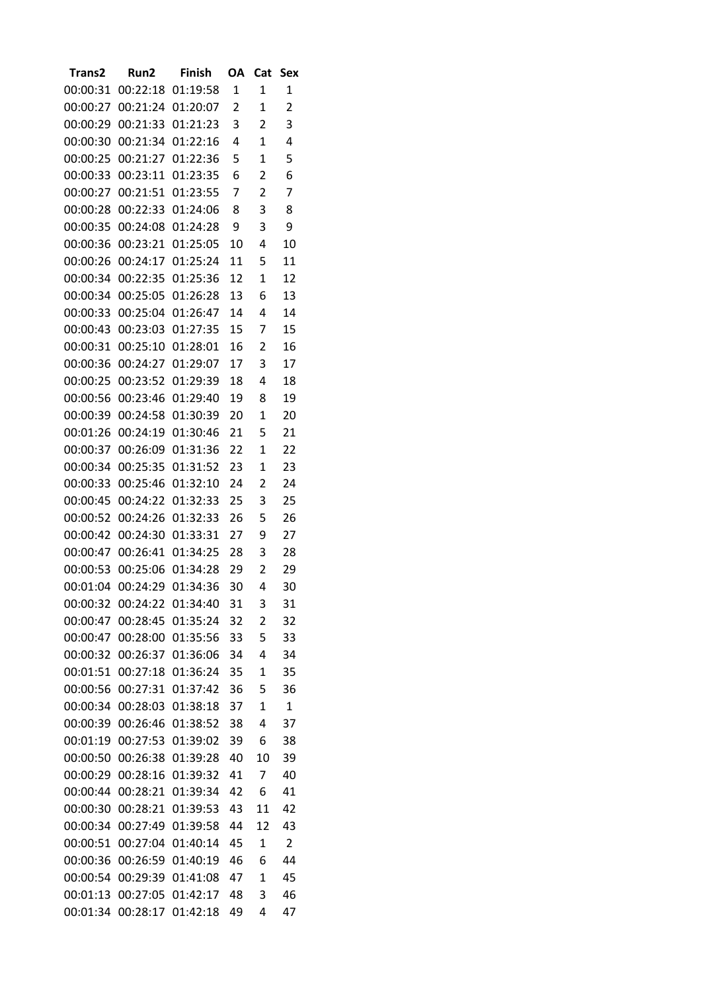| Trans2   | Run2     | <b>Finish</b> | OA | Cat            | Sex            |
|----------|----------|---------------|----|----------------|----------------|
| 00:00:31 | 00:22:18 | 01:19:58      | 1  | 1              | 1              |
| 00:00:27 | 00:21:24 | 01:20:07      | 2  | 1              | $\overline{2}$ |
| 00:00:29 | 00:21:33 | 01:21:23      | 3  | 2              | 3              |
| 00:00:30 | 00:21:34 | 01:22:16      | 4  | $\mathbf{1}$   | 4              |
| 00:00:25 | 00:21:27 | 01:22:36      | 5  | 1              | 5              |
| 00:00:33 | 00:23:11 | 01:23:35      | 6  | 2              | 6              |
| 00:00:27 | 00:21:51 | 01:23:55      | 7  | 2              | 7              |
| 00:00:28 | 00:22:33 | 01:24:06      | 8  | 3              | 8              |
| 00:00:35 | 00:24:08 | 01:24:28      | 9  | 3              | 9              |
| 00:00:36 | 00:23:21 | 01:25:05      | 10 | 4              | 10             |
| 00:00:26 | 00:24:17 | 01:25:24      | 11 | 5              | 11             |
| 00:00:34 | 00:22:35 | 01:25:36      | 12 | 1              | 12             |
| 00:00:34 | 00:25:05 | 01:26:28      | 13 | 6              | 13             |
| 00:00:33 | 00:25:04 | 01:26:47      | 14 | 4              | 14             |
| 00:00:43 | 00:23:03 | 01:27:35      | 15 | 7              | 15             |
| 00:00:31 | 00:25:10 | 01:28:01      | 16 | 2              | 16             |
| 00:00:36 | 00:24:27 | 01:29:07      | 17 | 3              | 17             |
| 00:00:25 | 00:23:52 | 01:29:39      | 18 | 4              | 18             |
| 00:00:56 | 00:23:46 | 01:29:40      | 19 | 8              | 19             |
| 00:00:39 | 00:24:58 | 01:30:39      | 20 | 1              | 20             |
| 00:01:26 | 00:24:19 | 01:30:46      | 21 | 5              | 21             |
| 00:00:37 | 00:26:09 | 01:31:36      | 22 | 1              | 22             |
| 00:00:34 | 00:25:35 | 01:31:52      | 23 | $\mathbf{1}$   | 23             |
|          |          |               |    |                |                |
| 00:00:33 | 00:25:46 | 01:32:10      | 24 | 2              | 24             |
| 00:00:45 | 00:24:22 | 01:32:33      | 25 | 3              | 25             |
| 00:00:52 | 00:24:26 | 01:32:33      | 26 | 5              | 26             |
| 00:00:42 | 00:24:30 | 01:33:31      | 27 | 9              | 27             |
| 00:00:47 | 00:26:41 | 01:34:25      | 28 | 3              | 28             |
| 00:00:53 | 00:25:06 | 01:34:28      | 29 | 2              | 29             |
| 00:01:04 | 00:24:29 | 01:34:36      | 30 | 4              | 30             |
| 00:00:32 | 00:24:22 | 01:34:40      | 31 | 3              | 31             |
| 00:00:47 | 00:28:45 | 01:35:24      | 32 | 2              | 32             |
| 00:00:47 | 00:28:00 | 01:35:56      | 33 | 5              | 33             |
| 00:00:32 | 00:26:37 | 01:36:06      | 34 | 4              | 34             |
| 00:01:51 | 00:27:18 | 01:36:24      | 35 | $\mathbf 1$    | 35             |
| 00:00:56 | 00:27:31 | 01:37:42      | 36 | 5              | 36             |
| 00:00:34 | 00:28:03 | 01:38:18      | 37 | 1              | $\mathbf{1}$   |
| 00:00:39 | 00:26:46 | 01:38:52      | 38 | 4              | 37             |
| 00:01:19 | 00:27:53 | 01:39:02      | 39 | 6              | 38             |
| 00:00:50 | 00:26:38 | 01:39:28      | 40 | 10             | 39             |
| 00:00:29 | 00:28:16 | 01:39:32      | 41 | 7              | 40             |
| 00:00:44 | 00:28:21 | 01:39:34      | 42 | 6              | 41             |
| 00:00:30 | 00:28:21 | 01:39:53      | 43 | 11             | 42             |
| 00:00:34 | 00:27:49 | 01:39:58      | 44 | 12             | 43             |
| 00:00:51 | 00:27:04 | 01:40:14      | 45 | $\mathbf{1}$   | 2              |
| 00:00:36 | 00:26:59 | 01:40:19      | 46 | 6              | 44             |
| 00:00:54 | 00:29:39 | 01:41:08      | 47 | $\overline{1}$ | 45             |
| 00:01:13 | 00:27:05 | 01:42:17      | 48 | 3              | 46             |
| 00:01:34 | 00:28:17 | 01:42:18      | 49 | 4              | 47             |